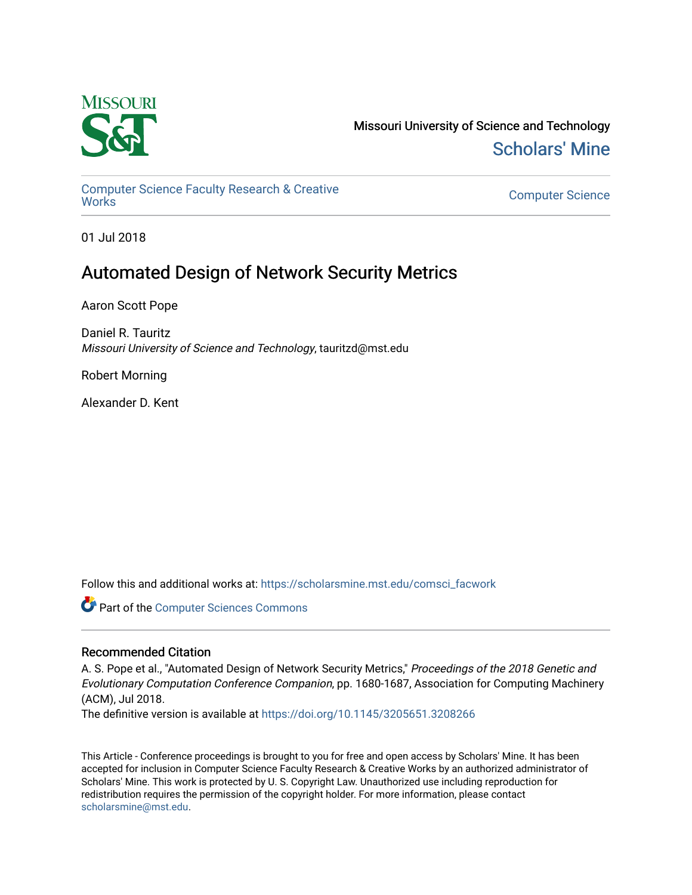

Missouri University of Science and Technology [Scholars' Mine](https://scholarsmine.mst.edu/) 

[Computer Science Faculty Research & Creative](https://scholarsmine.mst.edu/comsci_facwork) 

**Computer Science** 

01 Jul 2018

# Automated Design of Network Security Metrics

Aaron Scott Pope

Daniel R. Tauritz Missouri University of Science and Technology, tauritzd@mst.edu

Robert Morning

Alexander D. Kent

Follow this and additional works at: [https://scholarsmine.mst.edu/comsci\\_facwork](https://scholarsmine.mst.edu/comsci_facwork?utm_source=scholarsmine.mst.edu%2Fcomsci_facwork%2F574&utm_medium=PDF&utm_campaign=PDFCoverPages) 

Part of the [Computer Sciences Commons](http://network.bepress.com/hgg/discipline/142?utm_source=scholarsmine.mst.edu%2Fcomsci_facwork%2F574&utm_medium=PDF&utm_campaign=PDFCoverPages)

## Recommended Citation

A. S. Pope et al., "Automated Design of Network Security Metrics," Proceedings of the 2018 Genetic and Evolutionary Computation Conference Companion, pp. 1680-1687, Association for Computing Machinery (ACM), Jul 2018.

The definitive version is available at <https://doi.org/10.1145/3205651.3208266>

This Article - Conference proceedings is brought to you for free and open access by Scholars' Mine. It has been accepted for inclusion in Computer Science Faculty Research & Creative Works by an authorized administrator of Scholars' Mine. This work is protected by U. S. Copyright Law. Unauthorized use including reproduction for redistribution requires the permission of the copyright holder. For more information, please contact [scholarsmine@mst.edu.](mailto:scholarsmine@mst.edu)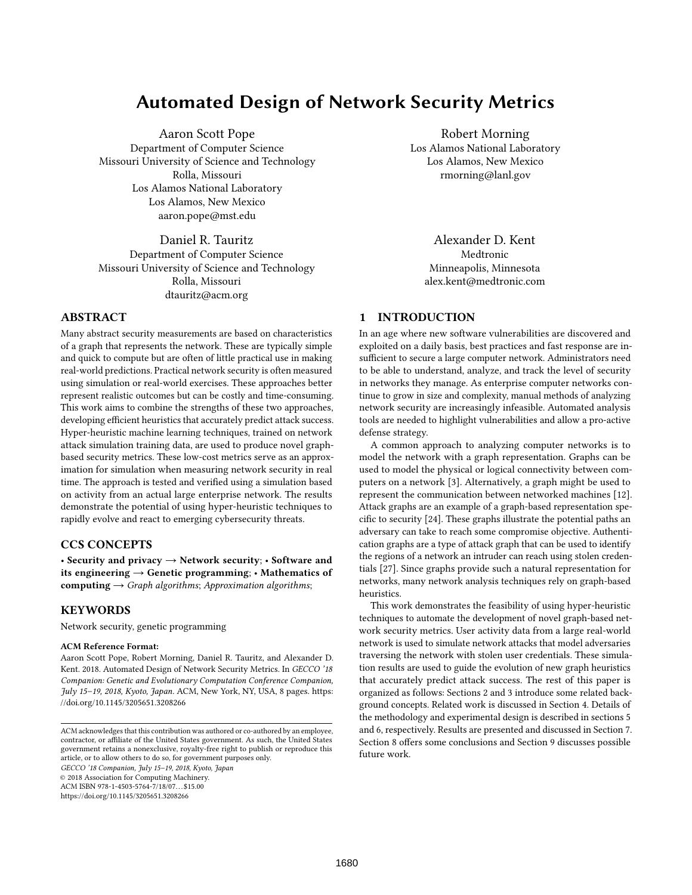## Automated Design of Network Security Metrics

Aaron Scott Pope Department of Computer Science Missouri University of Science and Technology Rolla, Missouri Los Alamos National Laboratory Los Alamos, New Mexico aaron.pope@mst.edu

Daniel R. Tauritz Department of Computer Science Missouri University of Science and Technology Rolla, Missouri dtauritz@acm.org

## ABSTRACT

Many abstract security measurements are based on characteristics of a graph that represents the network. These are typically simple and quick to compute but are often of little practical use in making real-world predictions. Practical network security is often measured using simulation or real-world exercises. These approaches better represent realistic outcomes but can be costly and time-consuming. This work aims to combine the strengths of these two approaches, developing efficient heuristics that accurately predict attack success. Hyper-heuristic machine learning techniques, trained on network attack simulation training data, are used to produce novel graphbased security metrics. These low-cost metrics serve as an approximation for simulation when measuring network security in real time. The approach is tested and verified using a simulation based on activity from an actual large enterprise network. The results demonstrate the potential of using hyper-heuristic techniques to rapidly evolve and react to emerging cybersecurity threats.

#### CCS CONCEPTS

• Security and privacy  $\rightarrow$  Network security; • Software and its engineering  $\rightarrow$  Genetic programming; • Mathematics of computing  $\rightarrow$  Graph algorithms; Approximation algorithms;

#### KEYWORDS

Network security, genetic programming

#### ACM Reference Format:

Aaron Scott Pope, Robert Morning, Daniel R. Tauritz, and Alexander D. Kent. 2018. Automated Design of Network Security Metrics. In GECCO '18 Companion: Genetic and Evolutionary Computation Conference Companion, July 15–19, 2018, Kyoto, Japan. ACM, New York, NY, USA, [8](#page-8-0) pages. [https:](https://doi.org/10.1145/3205651.3208266) [//doi.org/10.1145/3205651.3208266](https://doi.org/10.1145/3205651.3208266)

GECCO '18 Companion, July 15–19, 2018, Kyoto, Japan

© 2018 Association for Computing Machinery. ACM ISBN 978-1-4503-5764-7/18/07. . . \$15.00

<https://doi.org/10.1145/3205651.3208266>

Robert Morning Los Alamos National Laboratory Los Alamos, New Mexico rmorning@lanl.gov

> Alexander D. Kent Medtronic Minneapolis, Minnesota alex.kent@medtronic.com

## 1 INTRODUCTION

In an age where new software vulnerabilities are discovered and exploited on a daily basis, best practices and fast response are insufficient to secure a large computer network. Administrators need to be able to understand, analyze, and track the level of security in networks they manage. As enterprise computer networks continue to grow in size and complexity, manual methods of analyzing network security are increasingly infeasible. Automated analysis tools are needed to highlight vulnerabilities and allow a pro-active defense strategy.

A common approach to analyzing computer networks is to model the network with a graph representation. Graphs can be used to model the physical or logical connectivity between computers on a network [\[3\]](#page-8-1). Alternatively, a graph might be used to represent the communication between networked machines [\[12\]](#page-8-2). Attack graphs are an example of a graph-based representation specific to security [\[24\]](#page-8-3). These graphs illustrate the potential paths an adversary can take to reach some compromise objective. Authentication graphs are a type of attack graph that can be used to identify the regions of a network an intruder can reach using stolen credentials [\[27\]](#page-8-4). Since graphs provide such a natural representation for networks, many network analysis techniques rely on graph-based heuristics.

This work demonstrates the feasibility of using hyper-heuristic techniques to automate the development of novel graph-based network security metrics. User activity data from a large real-world network is used to simulate network attacks that model adversaries traversing the network with stolen user credentials. These simulation results are used to guide the evolution of new graph heuristics that accurately predict attack success. The rest of this paper is organized as follows: Sections [2](#page-2-0) and [3](#page-2-1) introduce some related background concepts. Related work is discussed in Section [4.](#page-2-2) Details of the methodology and experimental design is described in sections [5](#page-3-0) and [6,](#page-5-0) respectively. Results are presented and discussed in Section [7.](#page-6-0) Section [8](#page-7-0) offers some conclusions and Section [9](#page-7-1) discusses possible future work.

ACM acknowledges that this contribution was authored or co-authored by an employee, contractor, or affiliate of the United States government. As such, the United States government retains a nonexclusive, royalty-free right to publish or reproduce this article, or to allow others to do so, for government purposes only.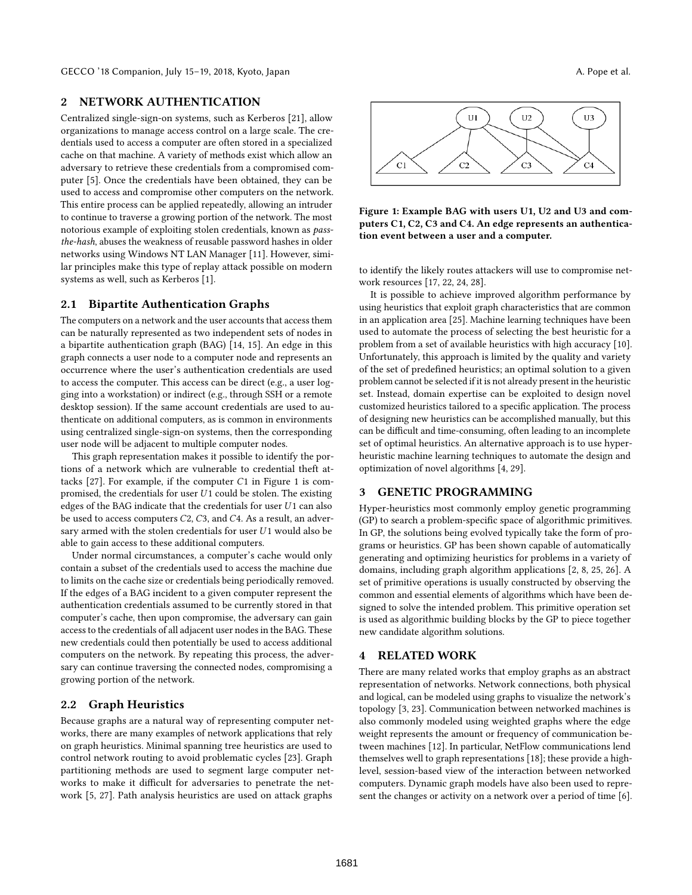## <span id="page-2-0"></span>2 NETWORK AUTHENTICATION

Centralized single-sign-on systems, such as Kerberos [\[21\]](#page-8-5), allow organizations to manage access control on a large scale. The credentials used to access a computer are often stored in a specialized cache on that machine. A variety of methods exist which allow an adversary to retrieve these credentials from a compromised computer [\[5\]](#page-8-6). Once the credentials have been obtained, they can be used to access and compromise other computers on the network. This entire process can be applied repeatedly, allowing an intruder to continue to traverse a growing portion of the network. The most notorious example of exploiting stolen credentials, known as passthe-hash, abuses the weakness of reusable password hashes in older networks using Windows NT LAN Manager [\[11\]](#page-8-7). However, similar principles make this type of replay attack possible on modern systems as well, such as Kerberos [\[1\]](#page-8-8).

### 2.1 Bipartite Authentication Graphs

The computers on a network and the user accounts that access them can be naturally represented as two independent sets of nodes in a bipartite authentication graph (BAG) [\[14,](#page-8-9) [15\]](#page-8-10). An edge in this graph connects a user node to a computer node and represents an occurrence where the user's authentication credentials are used to access the computer. This access can be direct (e.g., a user logging into a workstation) or indirect (e.g., through SSH or a remote desktop session). If the same account credentials are used to authenticate on additional computers, as is common in environments using centralized single-sign-on systems, then the corresponding user node will be adjacent to multiple computer nodes.

This graph representation makes it possible to identify the portions of a network which are vulnerable to credential theft attacks [\[27\]](#page-8-4). For example, if the computer C<sup>1</sup> in Figure [1](#page-2-3) is compromised, the credentials for user  $U1$  could be stolen. The existing edges of the BAG indicate that the credentials for user  $U1$  can also be used to access computers C2, C3, and C4. As a result, an adversary armed with the stolen credentials for user  $U1$  would also be able to gain access to these additional computers.

Under normal circumstances, a computer's cache would only contain a subset of the credentials used to access the machine due to limits on the cache size or credentials being periodically removed. If the edges of a BAG incident to a given computer represent the authentication credentials assumed to be currently stored in that computer's cache, then upon compromise, the adversary can gain access to the credentials of all adjacent user nodes in the BAG. These new credentials could then potentially be used to access additional computers on the network. By repeating this process, the adversary can continue traversing the connected nodes, compromising a growing portion of the network.

#### 2.2 Graph Heuristics

Because graphs are a natural way of representing computer networks, there are many examples of network applications that rely on graph heuristics. Minimal spanning tree heuristics are used to control network routing to avoid problematic cycles [\[23\]](#page-8-11). Graph partitioning methods are used to segment large computer networks to make it difficult for adversaries to penetrate the network [\[5,](#page-8-6) [27\]](#page-8-4). Path analysis heuristics are used on attack graphs

<span id="page-2-3"></span>

Figure 1: Example BAG with users U1, U2 and U3 and computers C1, C2, C3 and C4. An edge represents an authentication event between a user and a computer.

to identify the likely routes attackers will use to compromise network resources [\[17,](#page-8-12) [22,](#page-8-13) [24,](#page-8-3) [28\]](#page-8-14).

It is possible to achieve improved algorithm performance by using heuristics that exploit graph characteristics that are common in an application area [\[25\]](#page-8-15). Machine learning techniques have been used to automate the process of selecting the best heuristic for a problem from a set of available heuristics with high accuracy [\[10\]](#page-8-16). Unfortunately, this approach is limited by the quality and variety of the set of predefined heuristics; an optimal solution to a given problem cannot be selected if it is not already present in the heuristic set. Instead, domain expertise can be exploited to design novel customized heuristics tailored to a specific application. The process of designing new heuristics can be accomplished manually, but this can be difficult and time-consuming, often leading to an incomplete set of optimal heuristics. An alternative approach is to use hyperheuristic machine learning techniques to automate the design and optimization of novel algorithms [\[4,](#page-8-17) [29\]](#page-8-18).

#### <span id="page-2-1"></span>3 GENETIC PROGRAMMING

Hyper-heuristics most commonly employ genetic programming (GP) to search a problem-specific space of algorithmic primitives. In GP, the solutions being evolved typically take the form of programs or heuristics. GP has been shown capable of automatically generating and optimizing heuristics for problems in a variety of domains, including graph algorithm applications [\[2,](#page-8-19) [8,](#page-8-20) [25,](#page-8-15) [26\]](#page-8-21). A set of primitive operations is usually constructed by observing the common and essential elements of algorithms which have been designed to solve the intended problem. This primitive operation set is used as algorithmic building blocks by the GP to piece together new candidate algorithm solutions.

#### <span id="page-2-2"></span>4 RELATED WORK

There are many related works that employ graphs as an abstract representation of networks. Network connections, both physical and logical, can be modeled using graphs to visualize the network's topology [\[3,](#page-8-1) [23\]](#page-8-11). Communication between networked machines is also commonly modeled using weighted graphs where the edge weight represents the amount or frequency of communication between machines [\[12\]](#page-8-2). In particular, NetFlow communications lend themselves well to graph representations [\[18\]](#page-8-22); these provide a highlevel, session-based view of the interaction between networked computers. Dynamic graph models have also been used to represent the changes or activity on a network over a period of time [\[6\]](#page-8-23).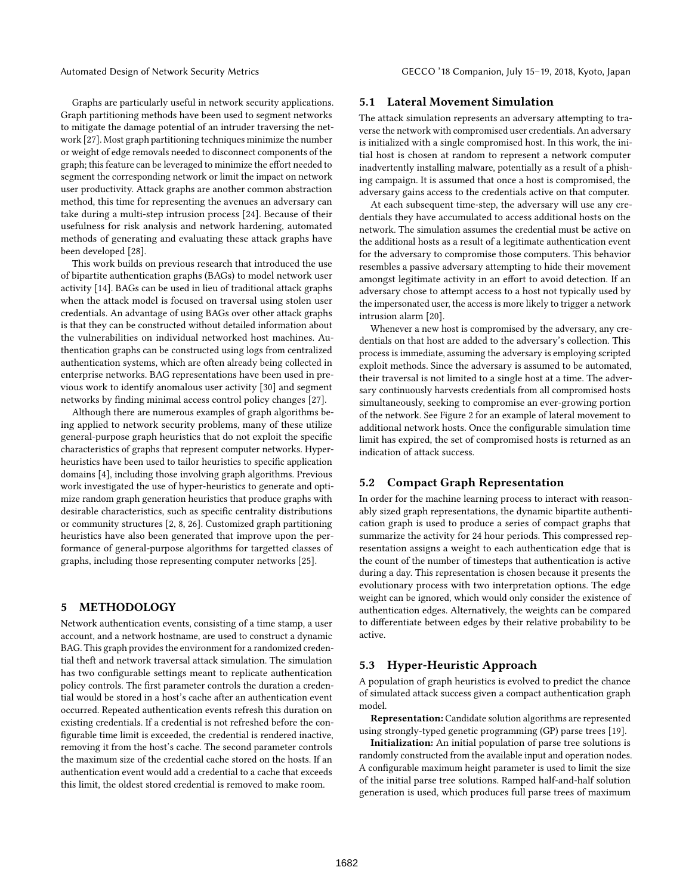Graphs are particularly useful in network security applications. Graph partitioning methods have been used to segment networks to mitigate the damage potential of an intruder traversing the network [\[27\]](#page-8-4). Most graph partitioning techniques minimize the number or weight of edge removals needed to disconnect components of the graph; this feature can be leveraged to minimize the effort needed to segment the corresponding network or limit the impact on network user productivity. Attack graphs are another common abstraction method, this time for representing the avenues an adversary can take during a multi-step intrusion process [\[24\]](#page-8-3). Because of their usefulness for risk analysis and network hardening, automated methods of generating and evaluating these attack graphs have been developed [\[28\]](#page-8-14).

This work builds on previous research that introduced the use of bipartite authentication graphs (BAGs) to model network user activity [\[14\]](#page-8-9). BAGs can be used in lieu of traditional attack graphs when the attack model is focused on traversal using stolen user credentials. An advantage of using BAGs over other attack graphs is that they can be constructed without detailed information about the vulnerabilities on individual networked host machines. Authentication graphs can be constructed using logs from centralized authentication systems, which are often already being collected in enterprise networks. BAG representations have been used in previous work to identify anomalous user activity [\[30\]](#page-8-24) and segment networks by finding minimal access control policy changes [\[27\]](#page-8-4).

Although there are numerous examples of graph algorithms being applied to network security problems, many of these utilize general-purpose graph heuristics that do not exploit the specific characteristics of graphs that represent computer networks. Hyperheuristics have been used to tailor heuristics to specific application domains [\[4\]](#page-8-17), including those involving graph algorithms. Previous work investigated the use of hyper-heuristics to generate and optimize random graph generation heuristics that produce graphs with desirable characteristics, such as specific centrality distributions or community structures [\[2,](#page-8-19) [8,](#page-8-20) [26\]](#page-8-21). Customized graph partitioning heuristics have also been generated that improve upon the performance of general-purpose algorithms for targetted classes of graphs, including those representing computer networks [\[25\]](#page-8-15).

#### <span id="page-3-0"></span>5 METHODOLOGY

Network authentication events, consisting of a time stamp, a user account, and a network hostname, are used to construct a dynamic BAG. This graph provides the environment for a randomized credential theft and network traversal attack simulation. The simulation has two configurable settings meant to replicate authentication policy controls. The first parameter controls the duration a credential would be stored in a host's cache after an authentication event occurred. Repeated authentication events refresh this duration on existing credentials. If a credential is not refreshed before the configurable time limit is exceeded, the credential is rendered inactive, removing it from the host's cache. The second parameter controls the maximum size of the credential cache stored on the hosts. If an authentication event would add a credential to a cache that exceeds this limit, the oldest stored credential is removed to make room.

#### 5.1 Lateral Movement Simulation

The attack simulation represents an adversary attempting to traverse the network with compromised user credentials. An adversary is initialized with a single compromised host. In this work, the initial host is chosen at random to represent a network computer inadvertently installing malware, potentially as a result of a phishing campaign. It is assumed that once a host is compromised, the adversary gains access to the credentials active on that computer.

At each subsequent time-step, the adversary will use any credentials they have accumulated to access additional hosts on the network. The simulation assumes the credential must be active on the additional hosts as a result of a legitimate authentication event for the adversary to compromise those computers. This behavior resembles a passive adversary attempting to hide their movement amongst legitimate activity in an effort to avoid detection. If an adversary chose to attempt access to a host not typically used by the impersonated user, the access is more likely to trigger a network intrusion alarm [\[20\]](#page-8-25).

Whenever a new host is compromised by the adversary, any credentials on that host are added to the adversary's collection. This process is immediate, assuming the adversary is employing scripted exploit methods. Since the adversary is assumed to be automated, their traversal is not limited to a single host at a time. The adversary continuously harvests credentials from all compromised hosts simultaneously, seeking to compromise an ever-growing portion of the network. See Figure [2](#page-4-0) for an example of lateral movement to additional network hosts. Once the configurable simulation time limit has expired, the set of compromised hosts is returned as an indication of attack success.

#### <span id="page-3-1"></span>5.2 Compact Graph Representation

In order for the machine learning process to interact with reasonably sized graph representations, the dynamic bipartite authentication graph is used to produce a series of compact graphs that summarize the activity for 24 hour periods. This compressed representation assigns a weight to each authentication edge that is the count of the number of timesteps that authentication is active during a day. This representation is chosen because it presents the evolutionary process with two interpretation options. The edge weight can be ignored, which would only consider the existence of authentication edges. Alternatively, the weights can be compared to differentiate between edges by their relative probability to be active.

#### 5.3 Hyper-Heuristic Approach

A population of graph heuristics is evolved to predict the chance of simulated attack success given a compact authentication graph model.

Representation: Candidate solution algorithms are represented using strongly-typed genetic programming (GP) parse trees [\[19\]](#page-8-26).

Initialization: An initial population of parse tree solutions is randomly constructed from the available input and operation nodes. A configurable maximum height parameter is used to limit the size of the initial parse tree solutions. Ramped half-and-half solution generation is used, which produces full parse trees of maximum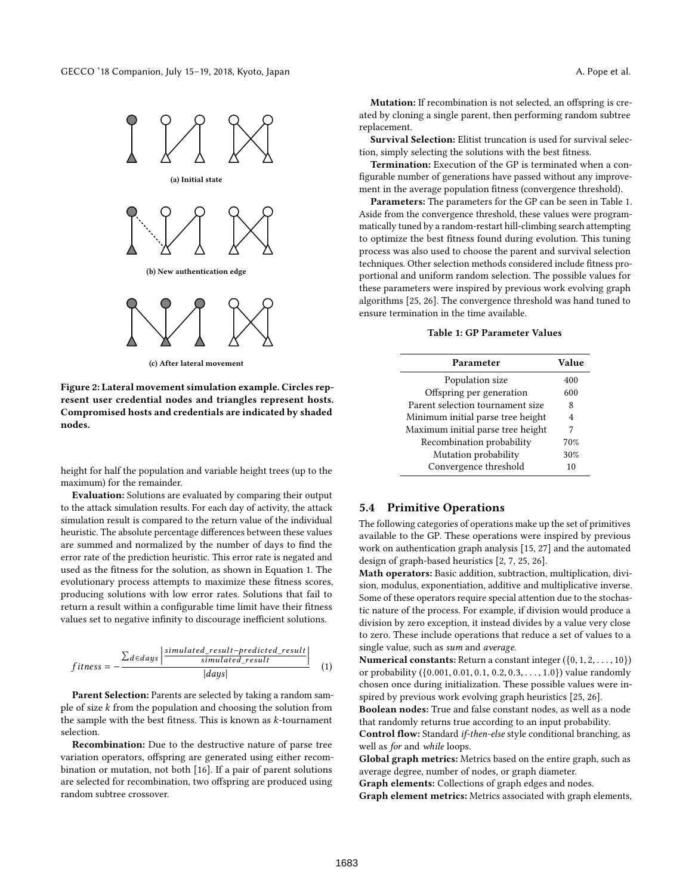<span id="page-4-0"></span>

(c) After lateral movement

Figure 2: Lateral movement simulation example. Circles represent user credential nodes and triangles represent hosts. Compromised hosts and credentials are indicated by shaded nodes.

height for half the population and variable height trees (up to the maximum) for the remainder.

Evaluation: Solutions are evaluated by comparing their output to the attack simulation results. For each day of activity, the attack simulation result is compared to the return value of the individual heuristic. The absolute percentage differences between these values are summed and normalized by the number of days to find the error rate of the prediction heuristic. This error rate is negated and used as the fitness for the solution, as shown in Equation [1.](#page-4-1) The evolutionary process attempts to maximize these fitness scores, producing solutions with low error rates. Solutions that fail to return a result within a configurable time limit have their fitness values set to negative infinity to discourage inefficient solutions.

<span id="page-4-1"></span>
$$
fitness = -\frac{\sum_{d \in days} \left| \frac{simulated\_result - predicted\_result}{simulated\_result} \right|}{|days|} \tag{1}
$$

Parent Selection: Parents are selected by taking a random sample of size  $k$  from the population and choosing the solution from the sample with the best fitness. This is known as  $k$ -tournament selection.

Recombination: Due to the destructive nature of parse tree variation operators, offspring are generated using either recombination or mutation, not both [\[16\]](#page-8-27). If a pair of parent solutions are selected for recombination, two offspring are produced using random subtree crossover.

Mutation: If recombination is not selected, an offspring is created by cloning a single parent, then performing random subtree replacement.

Survival Selection: Elitist truncation is used for survival selection, simply selecting the solutions with the best fitness.

Termination: Execution of the GP is terminated when a configurable number of generations have passed without any improvement in the average population fitness (convergence threshold).

Parameters: The parameters for the GP can be seen in Table [1.](#page-4-2) Aside from the convergence threshold, these values were programmatically tuned by a random-restart hill-climbing search attempting to optimize the best fitness found during evolution. This tuning process was also used to choose the parent and survival selection techniques. Other selection methods considered include fitness proportional and uniform random selection. The possible values for these parameters were inspired by previous work evolving graph algorithms [\[25,](#page-8-15) [26\]](#page-8-21). The convergence threshold was hand tuned to ensure termination in the time available.

#### Table 1: GP Parameter Values

<span id="page-4-2"></span>

| Parameter                         | Value          |
|-----------------------------------|----------------|
| Population size                   | 400            |
| Offspring per generation          | 600            |
| Parent selection tournament size  | 8              |
| Minimum initial parse tree height | $\overline{4}$ |
| Maximum initial parse tree height | 7              |
| Recombination probability         | 70%            |
| Mutation probability              | 30%            |
| Convergence threshold             | 10             |

#### 5.4 Primitive Operations

The following categories of operations make up the set of primitives available to the GP. These operations were inspired by previous work on authentication graph analysis [\[15,](#page-8-10) [27\]](#page-8-4) and the automated design of graph-based heuristics [\[2,](#page-8-19) [7,](#page-8-28) [25,](#page-8-15) [26\]](#page-8-21).

Math operators: Basic addition, subtraction, multiplication, division, modulus, exponentiation, additive and multiplicative inverse. Some of these operators require special attention due to the stochastic nature of the process. For example, if division would produce a division by zero exception, it instead divides by a value very close to zero. These include operations that reduce a set of values to a single value, such as sum and average.

**Numerical constants:** Return a constant integer  $({0, 1, 2, \ldots, 10})$ or probability ({0.001, <sup>0</sup>.01, <sup>0</sup>.1, <sup>0</sup>.2, <sup>0</sup>.3, . . . , <sup>1</sup>.0}) value randomly chosen once during initialization. These possible values were inspired by previous work evolving graph heuristics [\[25,](#page-8-15) [26\]](#page-8-21).

Boolean nodes: True and false constant nodes, as well as a node that randomly returns true according to an input probability.

Control flow: Standard if-then-else style conditional branching, as well as for and while loops.

Global graph metrics: Metrics based on the entire graph, such as average degree, number of nodes, or graph diameter.

Graph elements: Collections of graph edges and nodes.

Graph element metrics: Metrics associated with graph elements,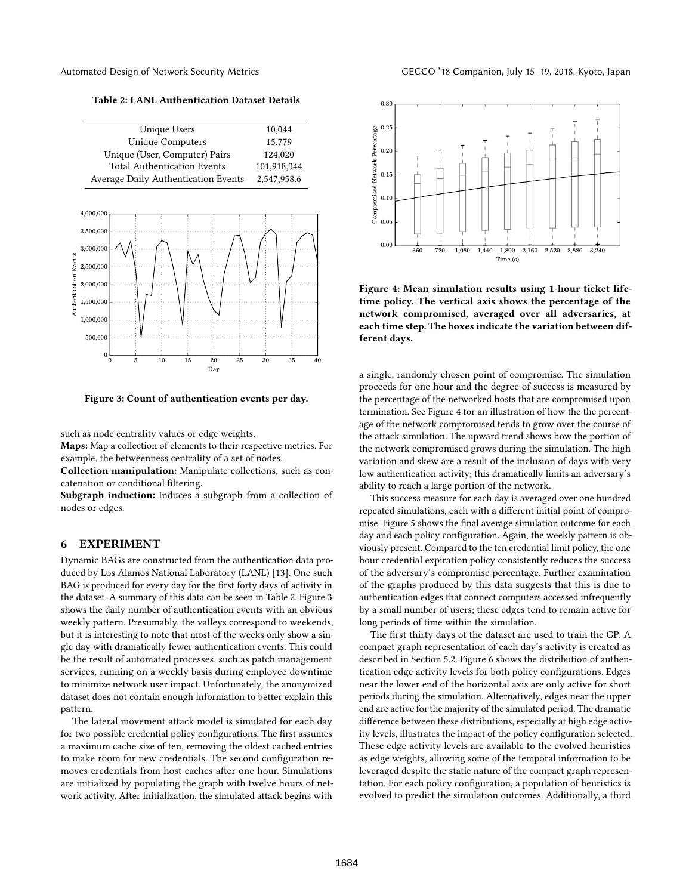Table 2: LANL Authentication Dataset Details

<span id="page-5-2"></span><span id="page-5-1"></span>

Figure 3: Count of authentication events per day.

such as node centrality values or edge weights.

Maps: Map a collection of elements to their respective metrics. For example, the betweenness centrality of a set of nodes.

Collection manipulation: Manipulate collections, such as concatenation or conditional filtering.

Subgraph induction: Induces a subgraph from a collection of nodes or edges.

#### <span id="page-5-0"></span>6 EXPERIMENT

Dynamic BAGs are constructed from the authentication data produced by Los Alamos National Laboratory (LANL) [\[13\]](#page-8-29). One such BAG is produced for every day for the first forty days of activity in the dataset. A summary of this data can be seen in Table [2.](#page-5-1) Figure [3](#page-5-2) shows the daily number of authentication events with an obvious weekly pattern. Presumably, the valleys correspond to weekends, but it is interesting to note that most of the weeks only show a single day with dramatically fewer authentication events. This could be the result of automated processes, such as patch management services, running on a weekly basis during employee downtime to minimize network user impact. Unfortunately, the anonymized dataset does not contain enough information to better explain this pattern.

The lateral movement attack model is simulated for each day for two possible credential policy configurations. The first assumes a maximum cache size of ten, removing the oldest cached entries to make room for new credentials. The second configuration removes credentials from host caches after one hour. Simulations are initialized by populating the graph with twelve hours of network activity. After initialization, the simulated attack begins with

<span id="page-5-3"></span>

Figure 4: Mean simulation results using 1-hour ticket lifetime policy. The vertical axis shows the percentage of the network compromised, averaged over all adversaries, at each time step. The boxes indicate the variation between different days.

a single, randomly chosen point of compromise. The simulation proceeds for one hour and the degree of success is measured by the percentage of the networked hosts that are compromised upon termination. See Figure [4](#page-5-3) for an illustration of how the the percentage of the network compromised tends to grow over the course of the attack simulation. The upward trend shows how the portion of the network compromised grows during the simulation. The high variation and skew are a result of the inclusion of days with very low authentication activity; this dramatically limits an adversary's ability to reach a large portion of the network.

This success measure for each day is averaged over one hundred repeated simulations, each with a different initial point of compromise. Figure [5](#page-6-1) shows the final average simulation outcome for each day and each policy configuration. Again, the weekly pattern is obviously present. Compared to the ten credential limit policy, the one hour credential expiration policy consistently reduces the success of the adversary's compromise percentage. Further examination of the graphs produced by this data suggests that this is due to authentication edges that connect computers accessed infrequently by a small number of users; these edges tend to remain active for long periods of time within the simulation.

The first thirty days of the dataset are used to train the GP. A compact graph representation of each day's activity is created as described in Section [5.2.](#page-3-1) Figure [6](#page-6-2) shows the distribution of authentication edge activity levels for both policy configurations. Edges near the lower end of the horizontal axis are only active for short periods during the simulation. Alternatively, edges near the upper end are active for the majority of the simulated period. The dramatic difference between these distributions, especially at high edge activity levels, illustrates the impact of the policy configuration selected. These edge activity levels are available to the evolved heuristics as edge weights, allowing some of the temporal information to be leveraged despite the static nature of the compact graph representation. For each policy configuration, a population of heuristics is evolved to predict the simulation outcomes. Additionally, a third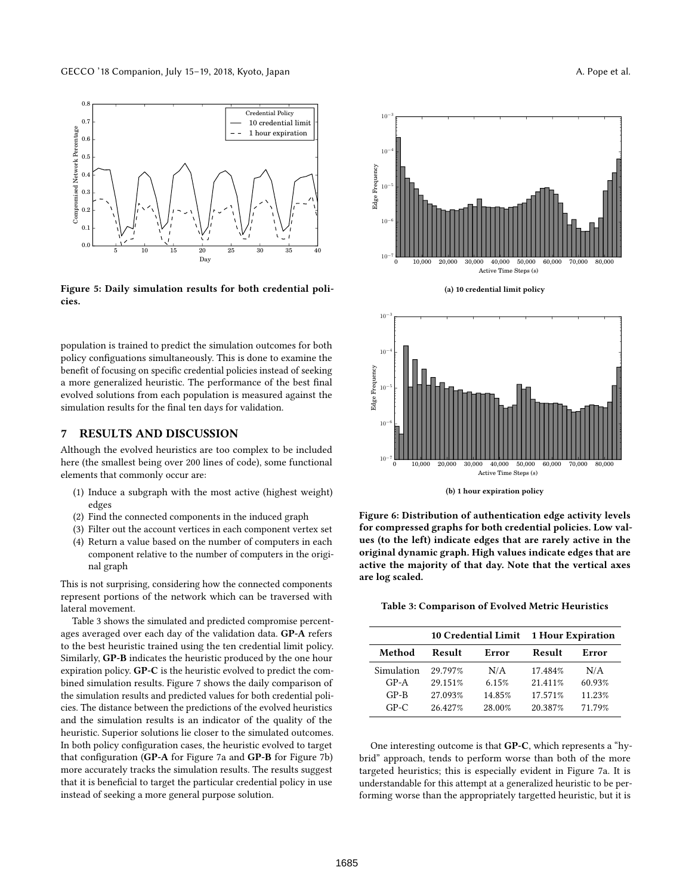<span id="page-6-1"></span>

Figure 5: Daily simulation results for both credential policies.

population is trained to predict the simulation outcomes for both policy configuations simultaneously. This is done to examine the benefit of focusing on specific credential policies instead of seeking a more generalized heuristic. The performance of the best final evolved solutions from each population is measured against the simulation results for the final ten days for validation.

#### <span id="page-6-0"></span>7 RESULTS AND DISCUSSION

Although the evolved heuristics are too complex to be included here (the smallest being over 200 lines of code), some functional elements that commonly occur are:

- (1) Induce a subgraph with the most active (highest weight) edges
- (2) Find the connected components in the induced graph
- (3) Filter out the account vertices in each component vertex set
- (4) Return a value based on the number of computers in each component relative to the number of computers in the original graph

This is not surprising, considering how the connected components represent portions of the network which can be traversed with lateral movement.

Table [3](#page-6-3) shows the simulated and predicted compromise percentages averaged over each day of the validation data. GP-A refers to the best heuristic trained using the ten credential limit policy. Similarly, GP-B indicates the heuristic produced by the one hour expiration policy. GP-C is the heuristic evolved to predict the combined simulation results. Figure [7](#page-7-2) shows the daily comparison of the simulation results and predicted values for both credential policies. The distance between the predictions of the evolved heuristics and the simulation results is an indicator of the quality of the heuristic. Superior solutions lie closer to the simulated outcomes. In both policy configuration cases, the heuristic evolved to target that configuration (GP-A for Figure [7a](#page-7-3) and GP-B for Figure [7b\)](#page-7-4) more accurately tracks the simulation results. The results suggest that it is beneficial to target the particular credential policy in use instead of seeking a more general purpose solution.

<span id="page-6-2"></span>



10−<sup>3</sup>



(b) 1 hour expiration policy

Figure 6: Distribution of authentication edge activity levels for compressed graphs for both credential policies. Low values (to the left) indicate edges that are rarely active in the original dynamic graph. High values indicate edges that are active the majority of that day. Note that the vertical axes are log scaled.

<span id="page-6-3"></span>Table 3: Comparison of Evolved Metric Heuristics

|            | <b>10 Credential Limit</b> |        | <b>1 Hour Expiration</b> |        |
|------------|----------------------------|--------|--------------------------|--------|
| Method     | Result                     | Error  | Result                   | Error  |
| Simulation | 29.797%                    | N/A    | 17.484%                  | N/A    |
| $G.P-A$    | 29.151%                    | 6.15%  | 21.411%                  | 60.93% |
| $GP-R$     | 27.093%                    | 14.85% | 17.571%                  | 11.23% |
| $GP-C$     | 26.427%                    | 28.00% | 20.387%                  | 71.79% |

One interesting outcome is that GP-C, which represents a "hybrid" approach, tends to perform worse than both of the more targeted heuristics; this is especially evident in Figure [7a.](#page-7-3) It is understandable for this attempt at a generalized heuristic to be performing worse than the appropriately targetted heuristic, but it is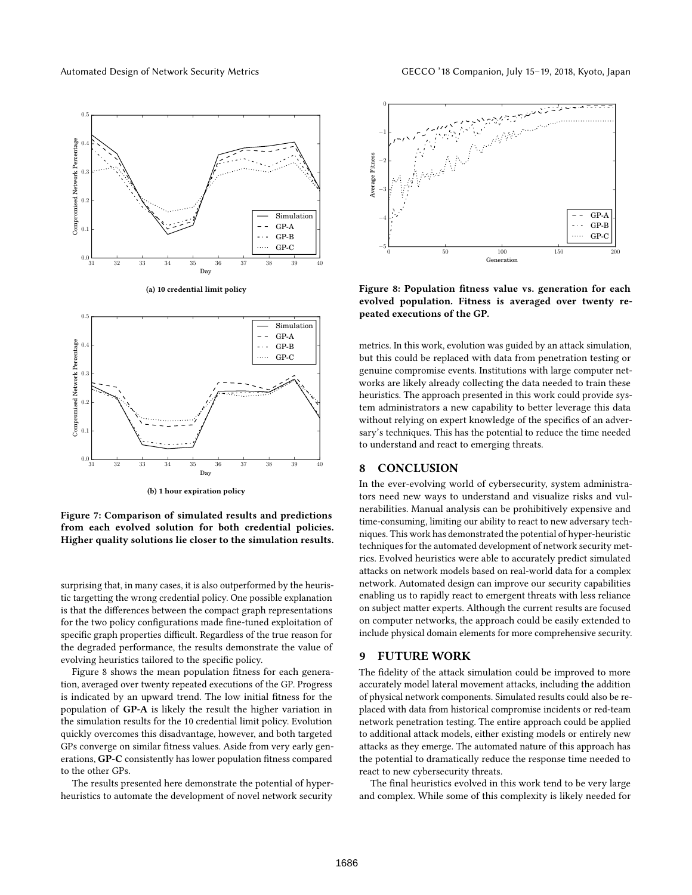<span id="page-7-3"></span><span id="page-7-2"></span>

(a) 10 credential limit policy

<span id="page-7-4"></span>

(b) 1 hour expiration policy

Figure 7: Comparison of simulated results and predictions from each evolved solution for both credential policies. Higher quality solutions lie closer to the simulation results.

surprising that, in many cases, it is also outperformed by the heuristic targetting the wrong credential policy. One possible explanation is that the differences between the compact graph representations for the two policy configurations made fine-tuned exploitation of specific graph properties difficult. Regardless of the true reason for the degraded performance, the results demonstrate the value of evolving heuristics tailored to the specific policy.

Figure [8](#page-7-5) shows the mean population fitness for each generation, averaged over twenty repeated executions of the GP. Progress is indicated by an upward trend. The low initial fitness for the population of GP-A is likely the result the higher variation in the simulation results for the 10 credential limit policy. Evolution quickly overcomes this disadvantage, however, and both targeted GPs converge on similar fitness values. Aside from very early generations, GP-C consistently has lower population fitness compared to the other GPs.

The results presented here demonstrate the potential of hyperheuristics to automate the development of novel network security

<span id="page-7-5"></span>

Figure 8: Population fitness value vs. generation for each evolved population. Fitness is averaged over twenty repeated executions of the GP.

metrics. In this work, evolution was guided by an attack simulation, but this could be replaced with data from penetration testing or genuine compromise events. Institutions with large computer networks are likely already collecting the data needed to train these heuristics. The approach presented in this work could provide system administrators a new capability to better leverage this data without relying on expert knowledge of the specifics of an adversary's techniques. This has the potential to reduce the time needed to understand and react to emerging threats.

#### <span id="page-7-0"></span>8 CONCLUSION

In the ever-evolving world of cybersecurity, system administrators need new ways to understand and visualize risks and vulnerabilities. Manual analysis can be prohibitively expensive and time-consuming, limiting our ability to react to new adversary techniques. This work has demonstrated the potential of hyper-heuristic techniques for the automated development of network security metrics. Evolved heuristics were able to accurately predict simulated attacks on network models based on real-world data for a complex network. Automated design can improve our security capabilities enabling us to rapidly react to emergent threats with less reliance on subject matter experts. Although the current results are focused on computer networks, the approach could be easily extended to include physical domain elements for more comprehensive security.

#### <span id="page-7-1"></span>9 FUTURE WORK

The fidelity of the attack simulation could be improved to more accurately model lateral movement attacks, including the addition of physical network components. Simulated results could also be replaced with data from historical compromise incidents or red-team network penetration testing. The entire approach could be applied to additional attack models, either existing models or entirely new attacks as they emerge. The automated nature of this approach has the potential to dramatically reduce the response time needed to react to new cybersecurity threats.

The final heuristics evolved in this work tend to be very large and complex. While some of this complexity is likely needed for